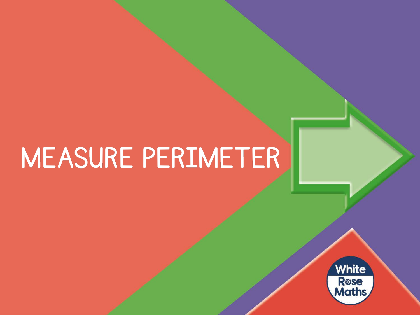## MEASURE PERIMETER

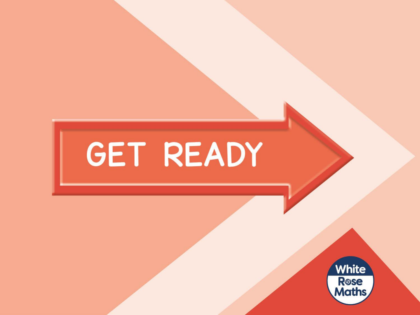# GET READY

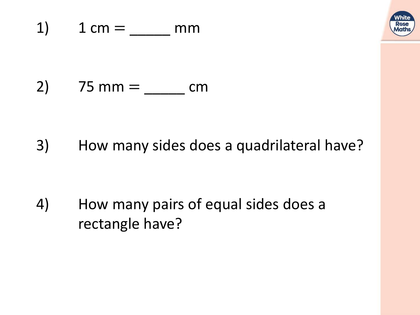

## 2)  $75 \text{ mm} =$  \_\_\_\_\_\_\_ cm

### 3) How many sides does a quadrilateral have?

## 4) How many pairs of equal sides does a rectangle have?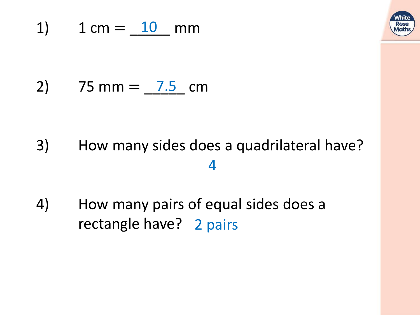

### 1)  $1 \text{ cm} = \underline{10} \text{ mm}$

## 2) 75 mm =  $7.5$  cm

## 3) How many sides does a quadrilateral have? 4

4) How many pairs of equal sides does a rectangle have? 2 pairs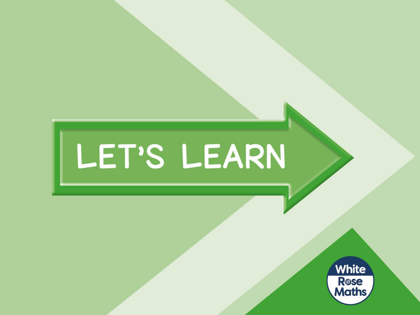# LET'S LEARN

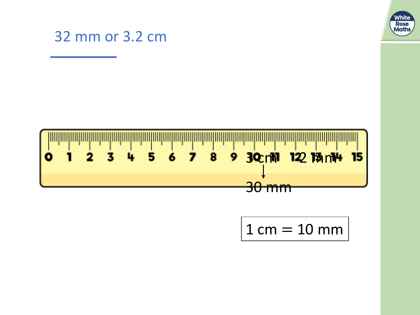

#### 32 mm or 3.2 cm



## $1 cm = 10 mm$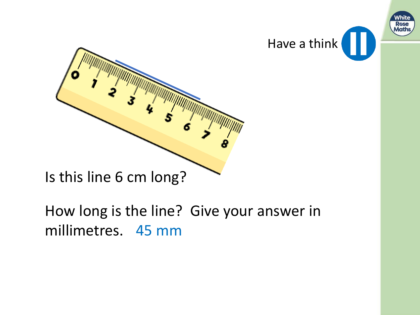



Is this line 6 cm long?

How long is the line? Give your answer in millimetres. 45 mm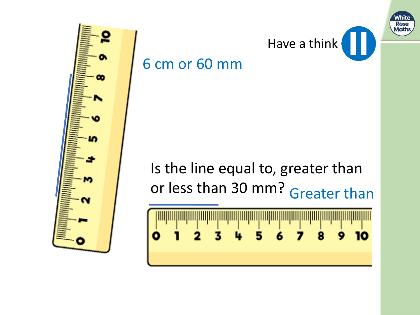



Is the line equal to, greater than or less than 30 mm? Greater than

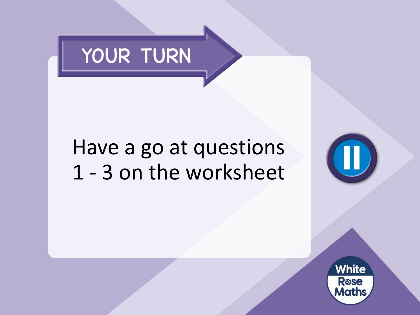

## Have a go at questions 1 - 3 on the worksheet

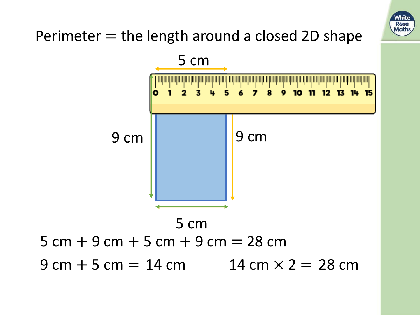

### Perimeter  $=$  the length around a closed 2D shape

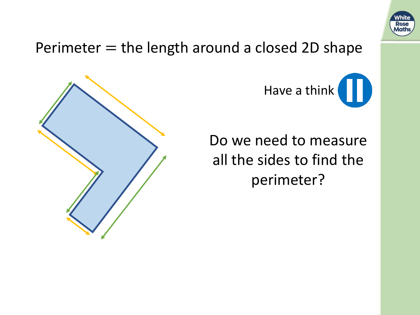

#### Perimeter  $=$  the length around a closed 2D shape



Have a think

Do we need to measure all the sides to find the perimeter?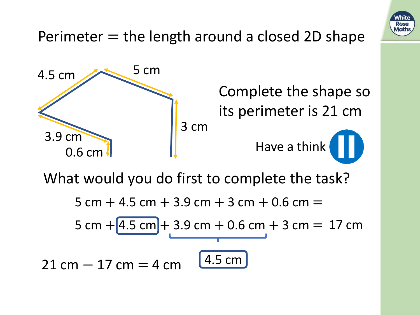

What would you do first to complete the task?

5 cm  $+$  4.5 cm  $+$  3.9 cm  $+$  3 cm  $+$  0.6 cm  $=$ 5 cm  $+[4.5 \text{ cm}] + 3.9 \text{ cm} + 0.6 \text{ cm} + 3 \text{ cm} = 17 \text{ cm}$ 4.5 cm  $21 cm - 17 cm = 4 cm$